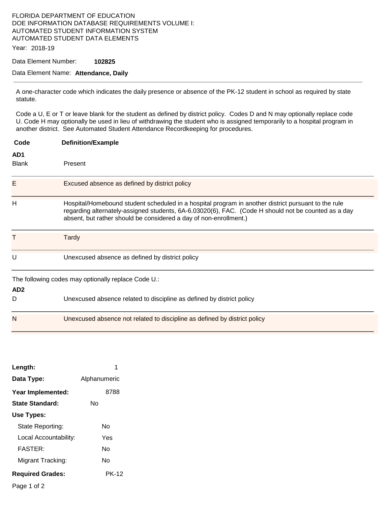#### FLORIDA DEPARTMENT OF EDUCATION DOE INFORMATION DATABASE REQUIREMENTS VOLUME I: AUTOMATED STUDENT INFORMATION SYSTEM AUTOMATED STUDENT DATA ELEMENTS

Year: 2018-19

Data Element Number: **102825** 

#### Data Element Name: **Attendance, Daily**

A one-character code which indicates the daily presence or absence of the PK-12 student in school as required by state statute.

Code a U, E or T or leave blank for the student as defined by district policy. Codes D and N may optionally replace code U. Code H may optionally be used in lieu of withdrawing the student who is assigned temporarily to a hospital program in another district. See Automated Student Attendance Recordkeeping for procedures.

| Code                | <b>Definition/Example</b>                                                                                                                                                                                                                                                       |
|---------------------|---------------------------------------------------------------------------------------------------------------------------------------------------------------------------------------------------------------------------------------------------------------------------------|
| AD1<br><b>Blank</b> | Present                                                                                                                                                                                                                                                                         |
| Ε                   | Excused absence as defined by district policy                                                                                                                                                                                                                                   |
| Н                   | Hospital/Homebound student scheduled in a hospital program in another district pursuant to the rule<br>regarding alternately-assigned students, 6A-6.03020(6), FAC. (Code H should not be counted as a day<br>absent, but rather should be considered a day of non-enrollment.) |
| т                   | <b>Tardy</b>                                                                                                                                                                                                                                                                    |
| U                   | Unexcused absence as defined by district policy                                                                                                                                                                                                                                 |
| AD <sub>2</sub>     | The following codes may optionally replace Code U.:                                                                                                                                                                                                                             |
| D                   | Unexcused absence related to discipline as defined by district policy                                                                                                                                                                                                           |
| N                   | Unexcused absence not related to discipline as defined by district policy                                                                                                                                                                                                       |

| Length:                 | 1            |
|-------------------------|--------------|
| Data Type:              | Alphanumeric |
| Year Implemented:       | 8788         |
| State Standard:         | N٥           |
| Use Types:              |              |
| State Reporting:        | N٥           |
| Local Accountability:   | Yes          |
| FASTFR·                 | N٥           |
| Migrant Tracking:       | N٥           |
| <b>Required Grades:</b> | PK-12        |

Page 1 of 2